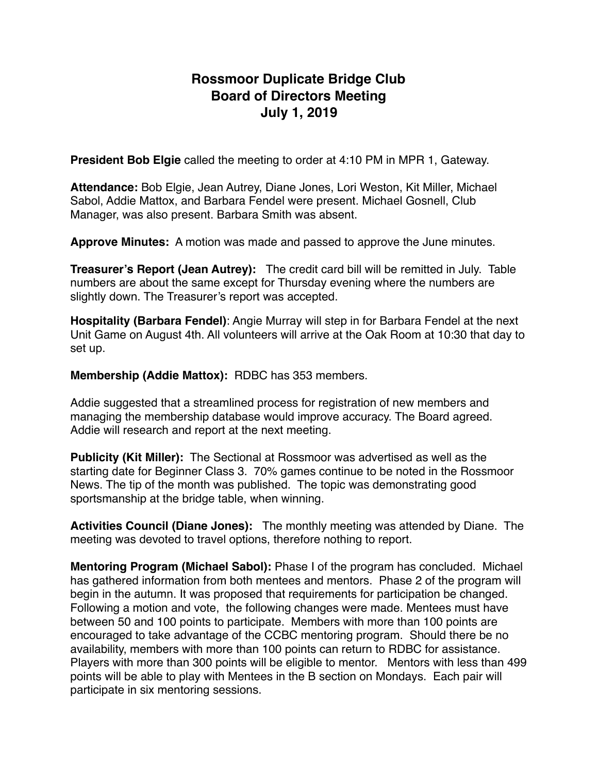# **Rossmoor Duplicate Bridge Club Board of Directors Meeting July 1, 2019**

**President Bob Elgie** called the meeting to order at 4:10 PM in MPR 1, Gateway.

**Attendance:** Bob Elgie, Jean Autrey, Diane Jones, Lori Weston, Kit Miller, Michael Sabol, Addie Mattox, and Barbara Fendel were present. Michael Gosnell, Club Manager, was also present. Barbara Smith was absent.

**Approve Minutes:** A motion was made and passed to approve the June minutes.

**Treasurer's Report (Jean Autrey):** The credit card bill will be remitted in July. Table numbers are about the same except for Thursday evening where the numbers are slightly down. The Treasurer's report was accepted.

**Hospitality (Barbara Fendel)**: Angie Murray will step in for Barbara Fendel at the next Unit Game on August 4th. All volunteers will arrive at the Oak Room at 10:30 that day to set up.

**Membership (Addie Mattox):** RDBC has 353 members.

Addie suggested that a streamlined process for registration of new members and managing the membership database would improve accuracy. The Board agreed. Addie will research and report at the next meeting.

**Publicity (Kit Miller):** The Sectional at Rossmoor was advertised as well as the starting date for Beginner Class 3. 70% games continue to be noted in the Rossmoor News. The tip of the month was published. The topic was demonstrating good sportsmanship at the bridge table, when winning.

**Activities Council (Diane Jones):** The monthly meeting was attended by Diane. The meeting was devoted to travel options, therefore nothing to report.

**Mentoring Program (Michael Sabol):** Phase I of the program has concluded. Michael has gathered information from both mentees and mentors. Phase 2 of the program will begin in the autumn. It was proposed that requirements for participation be changed. Following a motion and vote, the following changes were made. Mentees must have between 50 and 100 points to participate. Members with more than 100 points are encouraged to take advantage of the CCBC mentoring program. Should there be no availability, members with more than 100 points can return to RDBC for assistance. Players with more than 300 points will be eligible to mentor. Mentors with less than 499 points will be able to play with Mentees in the B section on Mondays. Each pair will participate in six mentoring sessions.